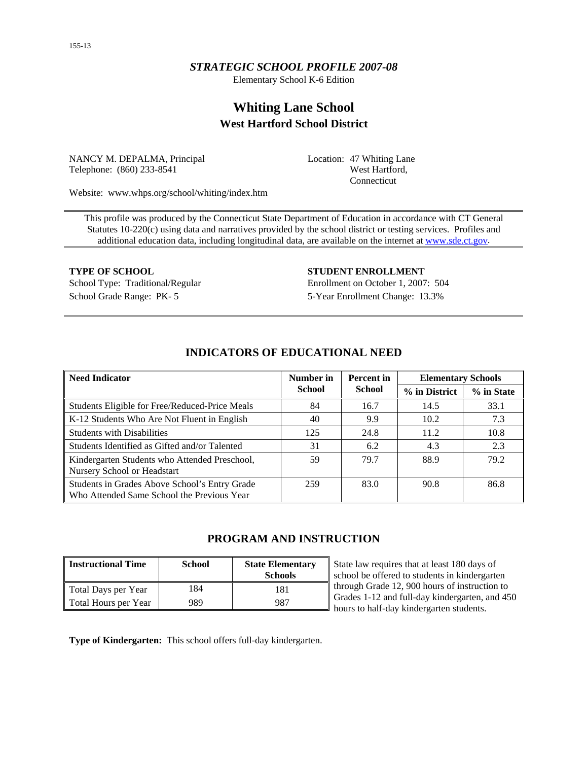# *STRATEGIC SCHOOL PROFILE 2007-08*

Elementary School K-6 Edition

# **Whiting Lane School West Hartford School District**

NANCY M. DEPALMA, Principal Telephone: (860) 233-8541

Location: 47 Whiting Lane West Hartford, Connecticut

Website: www.whps.org/school/whiting/index.htm

This profile was produced by the Connecticut State Department of Education in accordance with CT General Statutes 10-220(c) using data and narratives provided by the school district or testing services. Profiles and additional education data, including longitudinal data, are available on the internet at [www.sde.ct.gov.](http://www.sde.ct.gov/)

**TYPE OF SCHOOL STUDENT ENROLLMENT** School Type: Traditional/Regular Enrollment on October 1, 2007: 504 School Grade Range: PK- 5 5-Year Enrollment Change: 13.3%

| <b>Need Indicator</b>                                                                       | Number in     | <b>Percent</b> in | <b>Elementary Schools</b> |            |
|---------------------------------------------------------------------------------------------|---------------|-------------------|---------------------------|------------|
|                                                                                             | <b>School</b> | <b>School</b>     | % in District             | % in State |
| Students Eligible for Free/Reduced-Price Meals                                              | 84            | 16.7              | 14.5                      | 33.1       |
| K-12 Students Who Are Not Fluent in English                                                 | 40            | 9.9               | 10.2                      | 7.3        |
| <b>Students with Disabilities</b>                                                           | 125           | 24.8              | 11.2                      | 10.8       |
| Students Identified as Gifted and/or Talented                                               | 31            | 6.2               | 4.3                       | 2.3        |
| Kindergarten Students who Attended Preschool,<br>Nursery School or Headstart                | 59            | 79.7              | 88.9                      | 79.2       |
| Students in Grades Above School's Entry Grade<br>Who Attended Same School the Previous Year | 259           | 83.0              | 90.8                      | 86.8       |

# **INDICATORS OF EDUCATIONAL NEED**

# **PROGRAM AND INSTRUCTION**

| <b>Instructional Time</b> | <b>School</b> | <b>State Elementary</b><br><b>Schools</b> |
|---------------------------|---------------|-------------------------------------------|
| Total Days per Year       | 184           | 181                                       |
| Total Hours per Year      | 989           | 987                                       |

State law requires that at least 180 days of school be offered to students in kindergarten through Grade 12, 900 hours of instruction to Grades 1-12 and full-day kindergarten, and 450 hours to half-day kindergarten students.

**Type of Kindergarten:** This school offers full-day kindergarten.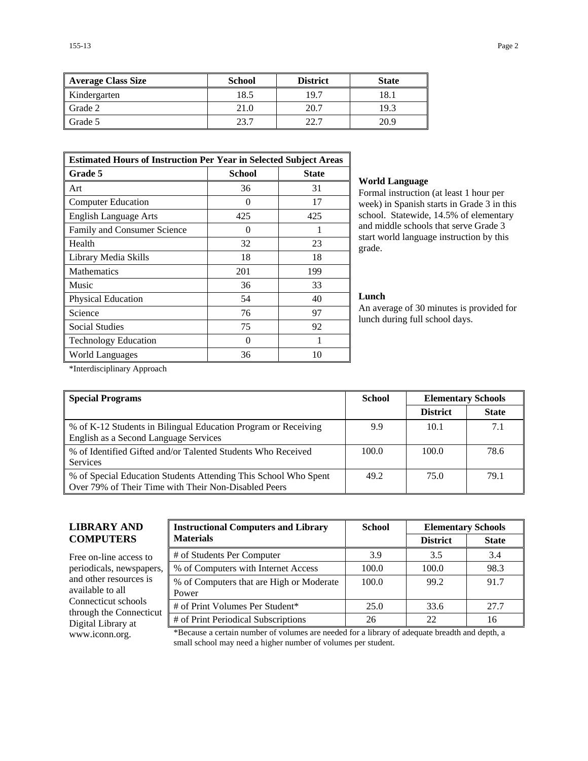| Average Class Size | <b>School</b> | <b>District</b> | <b>State</b> |
|--------------------|---------------|-----------------|--------------|
| Kindergarten       | 18.5          | 19.7            | 18.1         |
| Grade 2            | 21.0          | 20.7            | 19.3         |
| Grade 5            | 23.7          | 22.7            | 20.9         |

| <b>Estimated Hours of Instruction Per Year in Selected Subject Areas</b> |               |              |  |  |  |
|--------------------------------------------------------------------------|---------------|--------------|--|--|--|
| <b>Grade 5</b>                                                           | <b>School</b> | <b>State</b> |  |  |  |
| Art                                                                      | 36            | 31           |  |  |  |
| <b>Computer Education</b>                                                | 0             | 17           |  |  |  |
| <b>English Language Arts</b>                                             | 425           | 425          |  |  |  |
| Family and Consumer Science                                              | 0             |              |  |  |  |
| Health                                                                   | 32            | 23           |  |  |  |
| Library Media Skills                                                     | 18            | 18           |  |  |  |
| <b>Mathematics</b>                                                       | 201           | 199          |  |  |  |
| Music                                                                    | 36            | 33           |  |  |  |
| <b>Physical Education</b>                                                | 54            | 40           |  |  |  |
| Science                                                                  | 76            | 97           |  |  |  |
| <b>Social Studies</b>                                                    | 75            | 92           |  |  |  |
| <b>Technology Education</b>                                              | 0             | 1            |  |  |  |
| World Languages                                                          | 36            | 10           |  |  |  |

#### **World Language**

Formal instruction (at least 1 hour per week) in Spanish starts in Grade 3 in this school. Statewide, 14.5% of elementary and middle schools that serve Grade 3 start world language instruction by this grade.

#### **Lunch**

An average of 30 minutes is provided for lunch during full school days.

\*Interdisciplinary Approach

| <b>Special Programs</b>                                                                                                 | <b>School</b> | <b>Elementary Schools</b> |              |
|-------------------------------------------------------------------------------------------------------------------------|---------------|---------------------------|--------------|
|                                                                                                                         |               | <b>District</b>           | <b>State</b> |
| % of K-12 Students in Bilingual Education Program or Receiving<br>English as a Second Language Services                 | 9.9           | 10.1                      | 7.1          |
| % of Identified Gifted and/or Talented Students Who Received<br><b>Services</b>                                         | 100.0         | 100.0                     | 78.6         |
| % of Special Education Students Attending This School Who Spent<br>Over 79% of Their Time with Their Non-Disabled Peers | 49.2          | 75.0                      | 79.1         |

# **LIBRARY AND COMPUTERS**

Free on-line access to periodicals, newspapers, and other resources is available to all Connecticut schools through the Connecticut Digital Library at

| <b>Instructional Computers and Library</b>        | <b>School</b> |                 | <b>Elementary Schools</b> |  |  |
|---------------------------------------------------|---------------|-----------------|---------------------------|--|--|
| <b>Materials</b>                                  |               | <b>District</b> | <b>State</b>              |  |  |
| # of Students Per Computer                        | 3.9           | 3.5             | 3.4                       |  |  |
| % of Computers with Internet Access               | 100.0         | 100.0           | 98.3                      |  |  |
| % of Computers that are High or Moderate<br>Power | 100.0         | 99.2            | 91.7                      |  |  |
| # of Print Volumes Per Student*                   | 25.0          | 33.6            | 27.7                      |  |  |
| # of Print Periodical Subscriptions               | 26            | 22              | 16                        |  |  |

www.iconn.org. \*Because a certain number of volumes are needed for a library of adequate breadth and depth, a small school may need a higher number of volumes per student.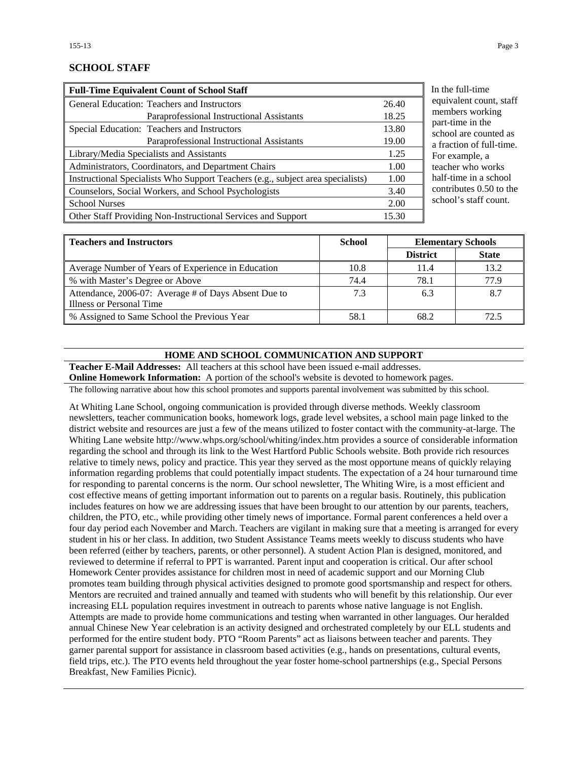# **SCHOOL STAFF**

| <b>Full-Time Equivalent Count of School Staff</b>                               |       |
|---------------------------------------------------------------------------------|-------|
| General Education: Teachers and Instructors                                     | 26.40 |
| Paraprofessional Instructional Assistants                                       | 18.25 |
| Special Education: Teachers and Instructors                                     | 13.80 |
| Paraprofessional Instructional Assistants                                       | 19.00 |
| Library/Media Specialists and Assistants                                        | 1.25  |
| Administrators, Coordinators, and Department Chairs                             | 1.00  |
| Instructional Specialists Who Support Teachers (e.g., subject area specialists) | 1.00  |
| Counselors, Social Workers, and School Psychologists                            | 3.40  |
| <b>School Nurses</b>                                                            | 2.00  |
| Other Staff Providing Non-Instructional Services and Support                    | 15.30 |

ne full-time ivalent count, staff nbers working -time in the ool are counted as action of full-time. example, a ther who works -time in a school tributes  $0.50$  to the ool's staff count.

| <b>Teachers and Instructors</b>                      | <b>School</b> | <b>Elementary Schools</b> |              |
|------------------------------------------------------|---------------|---------------------------|--------------|
|                                                      |               | <b>District</b>           | <b>State</b> |
| Average Number of Years of Experience in Education   | 10.8          | 11.4                      | 13.2         |
| % with Master's Degree or Above                      | 74.4          | 78.1                      | 77.9         |
| Attendance, 2006-07: Average # of Days Absent Due to | 7.3           | 6.3                       | 8.7          |
| Illness or Personal Time                             |               |                           |              |
| % Assigned to Same School the Previous Year          | 58.1          | 68.2                      | 72.5         |

#### **HOME AND SCHOOL COMMUNICATION AND SUPPORT**

**Teacher E-Mail Addresses:** All teachers at this school have been issued e-mail addresses.

**Online Homework Information:** A portion of the school's website is devoted to homework pages.

The following narrative about how this school promotes and supports parental involvement was submitted by this school.

At Whiting Lane School, ongoing communication is provided through diverse methods. Weekly classroom newsletters, teacher communication books, homework logs, grade level websites, a school main page linked to the district website and resources are just a few of the means utilized to foster contact with the community-at-large. The Whiting Lane website http://www.whps.org/school/whiting/index.htm provides a source of considerable information regarding the school and through its link to the West Hartford Public Schools website. Both provide rich resources relative to timely news, policy and practice. This year they served as the most opportune means of quickly relaying information regarding problems that could potentially impact students. The expectation of a 24 hour turnaround time for responding to parental concerns is the norm. Our school newsletter, The Whiting Wire, is a most efficient and cost effective means of getting important information out to parents on a regular basis. Routinely, this publication includes features on how we are addressing issues that have been brought to our attention by our parents, teachers, children, the PTO, etc., while providing other timely news of importance. Formal parent conferences a held over a four day period each November and March. Teachers are vigilant in making sure that a meeting is arranged for every student in his or her class. In addition, two Student Assistance Teams meets weekly to discuss students who have been referred (either by teachers, parents, or other personnel). A student Action Plan is designed, monitored, and reviewed to determine if referral to PPT is warranted. Parent input and cooperation is critical. Our after school Homework Center provides assistance for children most in need of academic support and our Morning Club promotes team building through physical activities designed to promote good sportsmanship and respect for others. Mentors are recruited and trained annually and teamed with students who will benefit by this relationship. Our ever increasing ELL population requires investment in outreach to parents whose native language is not English. Attempts are made to provide home communications and testing when warranted in other languages. Our heralded annual Chinese New Year celebration is an activity designed and orchestrated completely by our ELL students and performed for the entire student body. PTO "Room Parents" act as liaisons between teacher and parents. They garner parental support for assistance in classroom based activities (e.g., hands on presentations, cultural events, field trips, etc.). The PTO events held throughout the year foster home-school partnerships (e.g., Special Persons Breakfast, New Families Picnic).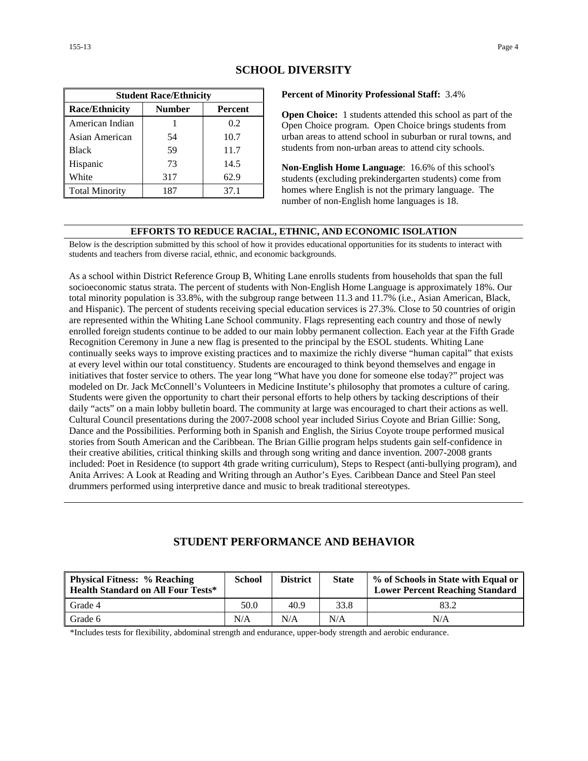| <b>Student Race/Ethnicity</b>                     |     |      |  |  |  |  |  |
|---------------------------------------------------|-----|------|--|--|--|--|--|
| <b>Race/Ethnicity</b><br><b>Number</b><br>Percent |     |      |  |  |  |  |  |
| American Indian                                   |     | 0.2  |  |  |  |  |  |
| Asian American                                    | 54  | 10.7 |  |  |  |  |  |
| <b>Black</b>                                      | 59  | 11.7 |  |  |  |  |  |
| Hispanic                                          | 73  | 14.5 |  |  |  |  |  |
| White                                             | 317 | 62.9 |  |  |  |  |  |
| <b>Total Minority</b>                             | 187 | 37.1 |  |  |  |  |  |

# **SCHOOL DIVERSITY**

**Percent of Minority Professional Staff:** 3.4%

**Open Choice:** 1 students attended this school as part of the Open Choice program. Open Choice brings students from urban areas to attend school in suburban or rural towns, and students from non-urban areas to attend city schools.

**Non-English Home Language**: 16.6% of this school's students (excluding prekindergarten students) come from homes where English is not the primary language. The number of non-English home languages is 18.

#### **EFFORTS TO REDUCE RACIAL, ETHNIC, AND ECONOMIC ISOLATION**

Below is the description submitted by this school of how it provides educational opportunities for its students to interact with students and teachers from diverse racial, ethnic, and economic backgrounds.

As a school within District Reference Group B, Whiting Lane enrolls students from households that span the full socioeconomic status strata. The percent of students with Non-English Home Language is approximately 18%. Our total minority population is 33.8%, with the subgroup range between 11.3 and 11.7% (i.e., Asian American, Black, and Hispanic). The percent of students receiving special education services is 27.3%. Close to 50 countries of origin are represented within the Whiting Lane School community. Flags representing each country and those of newly enrolled foreign students continue to be added to our main lobby permanent collection. Each year at the Fifth Grade Recognition Ceremony in June a new flag is presented to the principal by the ESOL students. Whiting Lane continually seeks ways to improve existing practices and to maximize the richly diverse "human capital" that exists at every level within our total constituency. Students are encouraged to think beyond themselves and engage in initiatives that foster service to others. The year long "What have you done for someone else today?" project was modeled on Dr. Jack McConnell's Volunteers in Medicine Institute's philosophy that promotes a culture of caring. Students were given the opportunity to chart their personal efforts to help others by tacking descriptions of their daily "acts" on a main lobby bulletin board. The community at large was encouraged to chart their actions as well. Cultural Council presentations during the 2007-2008 school year included Sirius Coyote and Brian Gillie: Song, Dance and the Possibilities. Performing both in Spanish and English, the Sirius Coyote troupe performed musical stories from South American and the Caribbean. The Brian Gillie program helps students gain self-confidence in their creative abilities, critical thinking skills and through song writing and dance invention. 2007-2008 grants included: Poet in Residence (to support 4th grade writing curriculum), Steps to Respect (anti-bullying program), and Anita Arrives: A Look at Reading and Writing through an Author's Eyes. Caribbean Dance and Steel Pan steel drummers performed using interpretive dance and music to break traditional stereotypes.

### **STUDENT PERFORMANCE AND BEHAVIOR**

| <b>Physical Fitness: % Reaching</b><br><b>Health Standard on All Four Tests*</b> | <b>School</b> | <b>District</b> | <b>State</b> | % of Schools in State with Equal or<br><b>Lower Percent Reaching Standard</b> |
|----------------------------------------------------------------------------------|---------------|-----------------|--------------|-------------------------------------------------------------------------------|
| Grade 4                                                                          | 50.0          | 40.9            | 33.8         | 83.2                                                                          |
| Grade 6                                                                          | N/A           | N/A             | N/A          | N/A                                                                           |

\*Includes tests for flexibility, abdominal strength and endurance, upper-body strength and aerobic endurance.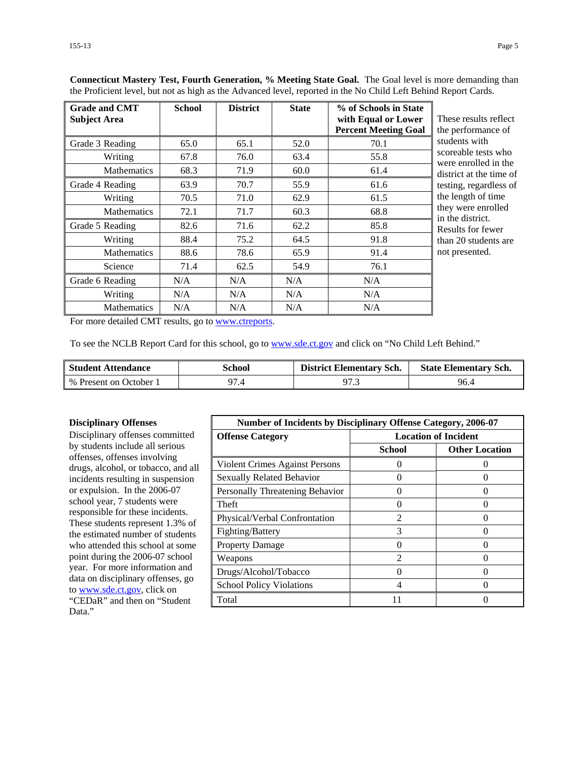| <b>Grade and CMT</b><br><b>Subject Area</b> | <b>School</b> | <b>District</b> | <b>State</b> | % of Schools in State<br>with Equal or Lower<br><b>Percent Meeting Goal</b> | These results reflect<br>the performance of |
|---------------------------------------------|---------------|-----------------|--------------|-----------------------------------------------------------------------------|---------------------------------------------|
| Grade 3 Reading                             | 65.0          | 65.1            | 52.0         | 70.1                                                                        | students with                               |
| Writing                                     | 67.8          | 76.0            | 63.4         | 55.8                                                                        | scoreable tests who<br>were enrolled in the |
| <b>Mathematics</b>                          | 68.3          | 71.9            | 60.0         | 61.4                                                                        | district at the time of                     |
| Grade 4 Reading                             | 63.9          | 70.7            | 55.9         | 61.6                                                                        | testing, regardless of                      |
| Writing                                     | 70.5          | 71.0            | 62.9         | 61.5                                                                        | the length of time                          |
| <b>Mathematics</b>                          | 72.1          | 71.7            | 60.3         | 68.8                                                                        | they were enrolled<br>in the district.      |
| Grade 5 Reading                             | 82.6          | 71.6            | 62.2         | 85.8                                                                        | Results for fewer                           |
| Writing                                     | 88.4          | 75.2            | 64.5         | 91.8                                                                        | than 20 students are                        |
| <b>Mathematics</b>                          | 88.6          | 78.6            | 65.9         | 91.4                                                                        | not presented.                              |
| Science                                     | 71.4          | 62.5            | 54.9         | 76.1                                                                        |                                             |
| Grade 6 Reading                             | N/A           | N/A             | N/A          | N/A                                                                         |                                             |
| Writing                                     | N/A           | N/A             | N/A          | N/A                                                                         |                                             |
| <b>Mathematics</b>                          | N/A           | N/A             | N/A          | N/A                                                                         |                                             |

**Connecticut Mastery Test, Fourth Generation, % Meeting State Goal.** The Goal level is more demanding than the Proficient level, but not as high as the Advanced level, reported in the No Child Left Behind Report Cards.

For more detailed CMT results, go to [www.ctreports.](http://www.ctreports/)

To see the NCLB Report Card for this school, go to [www.sde.ct.gov](http://www.sde.ct.gov/) and click on "No Child Left Behind."

| <b>Student Attendance</b> | School | <b>District Elementary Sch.</b> | <b>State Elementary Sch.</b> |
|---------------------------|--------|---------------------------------|------------------------------|
| % Present on October 1    |        | 97.3                            | 96.4                         |

#### **Disciplinary Offenses**

Disciplinary offenses committed by students include all serious offenses, offenses involving drugs, alcohol, or tobacco, and all incidents resulting in suspension or expulsion. In the 2006-07 school year, 7 students were responsible for these incidents. These students represent 1.3% of the estimated number of students who attended this school at some point during the 2006-07 school year. For more information and data on disciplinary offenses, go to [www.sde.ct.gov](http://www.sde.ct.gov/), click on "CEDaR" and then on "Student Data."

| <b>Number of Incidents by Disciplinary Offense Category, 2006-07</b> |                             |                       |
|----------------------------------------------------------------------|-----------------------------|-----------------------|
| <b>Offense Category</b>                                              | <b>Location of Incident</b> |                       |
|                                                                      | <b>School</b>               | <b>Other Location</b> |
| Violent Crimes Against Persons                                       | 0                           |                       |
| <b>Sexually Related Behavior</b>                                     |                             |                       |
| Personally Threatening Behavior                                      | ∩                           |                       |
| Theft                                                                | 0                           | 0                     |
| Physical/Verbal Confrontation                                        | $\mathfrak{D}$              |                       |
| Fighting/Battery                                                     | 3                           |                       |
| <b>Property Damage</b>                                               | ∩                           | 0                     |
| Weapons                                                              | $\mathfrak{D}$              |                       |
| Drugs/Alcohol/Tobacco                                                | $\Omega$                    |                       |
| <b>School Policy Violations</b>                                      | 4                           |                       |
| Total                                                                | 11                          |                       |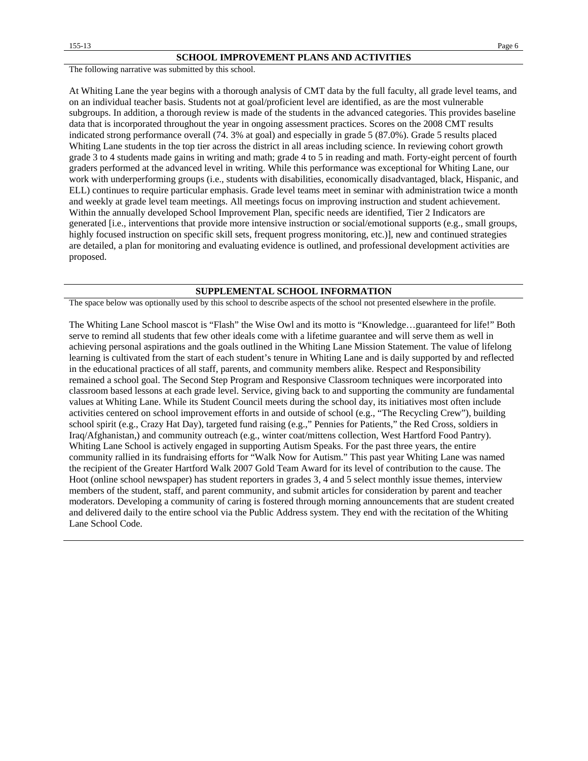The following narrative was submitted by this school.

At Whiting Lane the year begins with a thorough analysis of CMT data by the full faculty, all grade level teams, and on an individual teacher basis. Students not at goal/proficient level are identified, as are the most vulnerable subgroups. In addition, a thorough review is made of the students in the advanced categories. This provides baseline data that is incorporated throughout the year in ongoing assessment practices. Scores on the 2008 CMT results indicated strong performance overall (74. 3% at goal) and especially in grade 5 (87.0%). Grade 5 results placed Whiting Lane students in the top tier across the district in all areas including science. In reviewing cohort growth grade 3 to 4 students made gains in writing and math; grade 4 to 5 in reading and math. Forty-eight percent of fourth graders performed at the advanced level in writing. While this performance was exceptional for Whiting Lane, our work with underperforming groups (i.e., students with disabilities, economically disadvantaged, black, Hispanic, and ELL) continues to require particular emphasis. Grade level teams meet in seminar with administration twice a month and weekly at grade level team meetings. All meetings focus on improving instruction and student achievement. Within the annually developed School Improvement Plan, specific needs are identified, Tier 2 Indicators are generated [i.e., interventions that provide more intensive instruction or social/emotional supports (e.g., small groups, highly focused instruction on specific skill sets, frequent progress monitoring, etc.)], new and continued strategies are detailed, a plan for monitoring and evaluating evidence is outlined, and professional development activities are proposed.

#### **SUPPLEMENTAL SCHOOL INFORMATION**

The space below was optionally used by this school to describe aspects of the school not presented elsewhere in the profile.

The Whiting Lane School mascot is "Flash" the Wise Owl and its motto is "Knowledge…guaranteed for life!" Both serve to remind all students that few other ideals come with a lifetime guarantee and will serve them as well in achieving personal aspirations and the goals outlined in the Whiting Lane Mission Statement. The value of lifelong learning is cultivated from the start of each student's tenure in Whiting Lane and is daily supported by and reflected in the educational practices of all staff, parents, and community members alike. Respect and Responsibility remained a school goal. The Second Step Program and Responsive Classroom techniques were incorporated into classroom based lessons at each grade level. Service, giving back to and supporting the community are fundamental values at Whiting Lane. While its Student Council meets during the school day, its initiatives most often include activities centered on school improvement efforts in and outside of school (e.g., "The Recycling Crew"), building school spirit (e.g., Crazy Hat Day), targeted fund raising (e.g.," Pennies for Patients," the Red Cross, soldiers in Iraq/Afghanistan,) and community outreach (e.g., winter coat/mittens collection, West Hartford Food Pantry). Whiting Lane School is actively engaged in supporting Autism Speaks. For the past three years, the entire community rallied in its fundraising efforts for "Walk Now for Autism." This past year Whiting Lane was named the recipient of the Greater Hartford Walk 2007 Gold Team Award for its level of contribution to the cause. The Hoot (online school newspaper) has student reporters in grades 3, 4 and 5 select monthly issue themes, interview members of the student, staff, and parent community, and submit articles for consideration by parent and teacher moderators. Developing a community of caring is fostered through morning announcements that are student created and delivered daily to the entire school via the Public Address system. They end with the recitation of the Whiting Lane School Code.